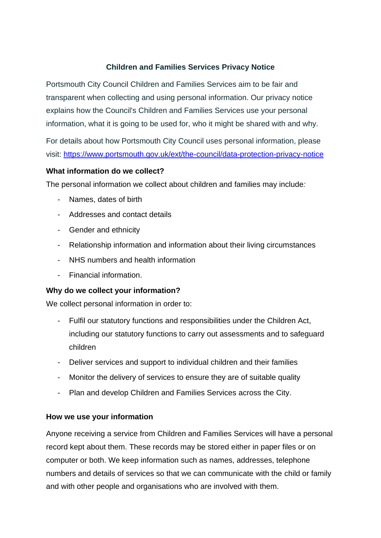## **Children and Families Services Privacy Notice**

Portsmouth City Council Children and Families Services aim to be fair and transparent when collecting and using personal information. Our privacy notice explains how the Council's Children and Families Services use your personal information, what it is going to be used for, who it might be shared with and why.

For details about how Portsmouth City Council uses personal information, please visit: <https://www.portsmouth.gov.uk/ext/the-council/data-protection-privacy-notice>

#### **What information do we collect?**

The personal information we collect about children and families may include*:*

- Names, dates of birth
- Addresses and contact details
- Gender and ethnicity
- Relationship information and information about their living circumstances
- NHS numbers and health information
- Financial information.

## **Why do we collect your information?**

We collect personal information in order to:

- Fulfil our statutory functions and responsibilities under the Children Act, including our statutory functions to carry out assessments and to safeguard children
- Deliver services and support to individual children and their families
- Monitor the delivery of services to ensure they are of suitable quality
- Plan and develop Children and Families Services across the City.

## **How we use your information**

Anyone receiving a service from Children and Families Services will have a personal record kept about them. These records may be stored either in paper files or on computer or both. We keep information such as names, addresses, telephone numbers and details of services so that we can communicate with the child or family and with other people and organisations who are involved with them.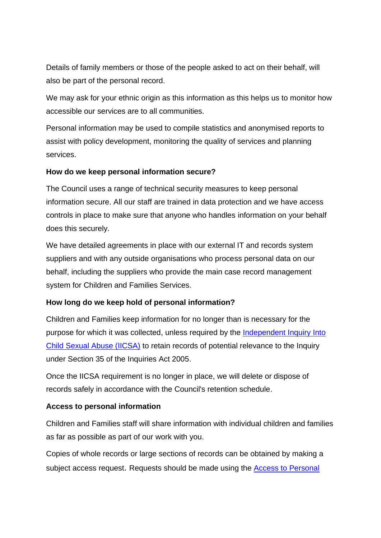Details of family members or those of the people asked to act on their behalf, will also be part of the personal record.

We may ask for your ethnic origin as this information as this helps us to monitor how accessible our services are to all communities.

Personal information may be used to compile statistics and anonymised reports to assist with policy development, monitoring the quality of services and planning services.

#### **How do we keep personal information secure?**

The Council uses a range of technical security measures to keep personal information secure. All our staff are trained in data protection and we have access controls in place to make sure that anyone who handles information on your behalf does this securely.

We have detailed agreements in place with our external IT and records system suppliers and with any outside organisations who process personal data on our behalf, including the suppliers who provide the main case record management system for Children and Families Services.

## **How long do we keep hold of personal information?**

Children and Families keep information for no longer than is necessary for the purpose for which it was collected, unless required by the [Independent Inquiry Into](https://www.iicsa.org.uk/key-documents/27705/view/2021-11-08-moratorium-destruction-records_-update.pdf)  [Child Sexual Abuse \(IICSA\)](https://www.iicsa.org.uk/key-documents/27705/view/2021-11-08-moratorium-destruction-records_-update.pdf) to retain records of potential relevance to the Inquiry under Section 35 of the Inquiries Act 2005.

Once the IICSA requirement is no longer in place, we will delete or dispose of records safely in accordance with the Council's retention schedule.

## **Access to personal information**

Children and Families staff will share information with individual children and families as far as possible as part of our work with you.

Copies of whole records or large sections of records can be obtained by making a subject access request. Requests should be made using the [Access to Personal](https://www.google.co.uk/url?sa=t&rct=j&q=&esrc=s&source=web&cd=2&cad=rja&uact=8&ved=2ahUKEwjpvJ-Ss4_dAhUKXMAKHSKIB1AQFjABegQICRAC&url=https%3A%2F%2Fwww.portsmouth.gov.uk%2Fext%2Fdocuments-external%2Fcou-data-subject-access-request-form.doc&usg=AOvVaw2pZTP6p5ozWEl1FjnosHeN)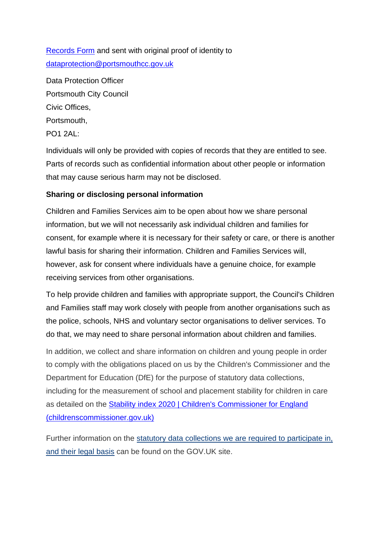[Records Form](https://www.google.co.uk/url?sa=t&rct=j&q=&esrc=s&source=web&cd=2&cad=rja&uact=8&ved=2ahUKEwjpvJ-Ss4_dAhUKXMAKHSKIB1AQFjABegQICRAC&url=https%3A%2F%2Fwww.portsmouth.gov.uk%2Fext%2Fdocuments-external%2Fcou-data-subject-access-request-form.doc&usg=AOvVaw2pZTP6p5ozWEl1FjnosHeN) and sent with original proof of identity to [dataprotection@portsmouthcc.gov.uk](mailto:dataprotection@portsmouthcc.gov.uk)

Data Protection Officer Portsmouth City Council Civic Offices, Portsmouth, PO1 2AL:

Individuals will only be provided with copies of records that they are entitled to see. Parts of records such as confidential information about other people or information that may cause serious harm may not be disclosed.

## **Sharing or disclosing personal information**

Children and Families Services aim to be open about how we share personal information, but we will not necessarily ask individual children and families for consent, for example where it is necessary for their safety or care, or there is another lawful basis for sharing their information. Children and Families Services will, however, ask for consent where individuals have a genuine choice, for example receiving services from other organisations.

To help provide children and families with appropriate support, the Council's Children and Families staff may work closely with people from another organisations such as the police, schools, NHS and voluntary sector organisations to deliver services. To do that, we may need to share personal information about children and families.

In addition, we collect and share information on children and young people in order to comply with the obligations placed on us by the Children's Commissioner and the Department for Education (DfE) for the purpose of statutory data collections, including for the measurement of school and placement stability for children in care as detailed on the [Stability index 2020 | Children's Commissioner for England](https://www.childrenscommissioner.gov.uk/report/stability-index-2020/)  [\(childrenscommissioner.gov.uk\)](https://www.childrenscommissioner.gov.uk/report/stability-index-2020/)

Further information on the [statutory data collections we are required to participate in,](https://www.gov.uk/topic/schools-colleges-childrens-services/data-collection-statistical-returns)  [and their legal basis](https://www.gov.uk/topic/schools-colleges-childrens-services/data-collection-statistical-returns) can be found on the GOV.UK site.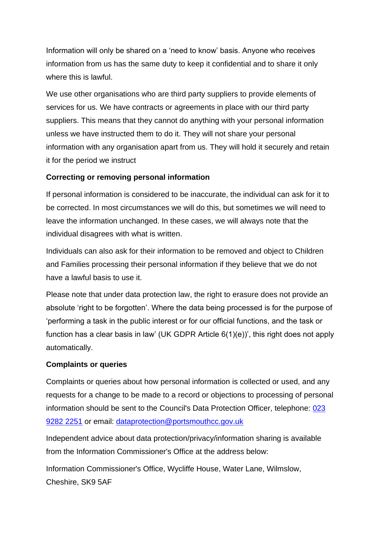Information will only be shared on a 'need to know' basis. Anyone who receives information from us has the same duty to keep it confidential and to share it only where this is lawful.

We use other organisations who are third party suppliers to provide elements of services for us. We have contracts or agreements in place with our third party suppliers. This means that they cannot do anything with your personal information unless we have instructed them to do it. They will not share your personal information with any organisation apart from us. They will hold it securely and retain it for the period we instruct

#### **Correcting or removing personal information**

If personal information is considered to be inaccurate, the individual can ask for it to be corrected. In most circumstances we will do this, but sometimes we will need to leave the information unchanged. In these cases, we will always note that the individual disagrees with what is written.

Individuals can also ask for their information to be removed and object to Children and Families processing their personal information if they believe that we do not have a lawful basis to use it.

Please note that under data protection law, the right to erasure does not provide an absolute 'right to be forgotten'. Where the data being processed is for the purpose of 'performing a task in the public interest or for our official functions, and the task or function has a clear basis in law' (UK GDPR Article  $6(1)(e)$ )', this right does not apply automatically.

#### **Complaints or queries**

Complaints or queries about how personal information is collected or used, and any requests for a change to be made to a record or objections to processing of personal information should be sent to the Council's Data Protection Officer, telephone: [023](tel:02392822251)  [9282 2251](tel:02392822251) or email: [dataprotection@portsmouthcc.gov.uk](mailto:dataprotection@portsmouthcc.gov.uk)

Independent advice about data protection/privacy/information sharing is available from the Information Commissioner's Office at the address below:

Information Commissioner's Office, Wycliffe House, Water Lane, Wilmslow, Cheshire, SK9 5AF